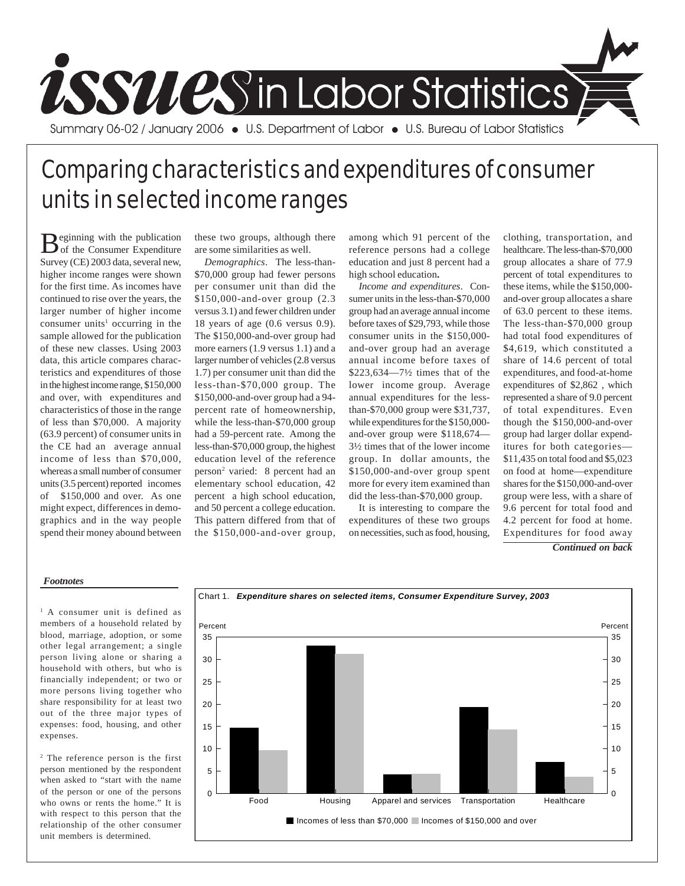

## Comparing characteristics and expenditures of consumer units in selected income ranges

Beginning with the publication<br>of the Consumer Expenditure Survey (CE) 2003 data, several new, higher income ranges were shown for the first time. As incomes have continued to rise over the years, the larger number of higher income consumer units<sup>1</sup> occurring in the sample allowed for the publication of these new classes. Using 2003 data, this article compares characteristics and expenditures of those in the highest income range, \$150,000 and over, with expenditures and characteristics of those in the range of less than \$70,000. A majority (63.9 percent) of consumer units in the CE had an average annual income of less than \$70,000, whereas a small number of consumer units (3.5 percent) reported incomes of \$150,000 and over. As one might expect, differences in demographics and in the way people spend their money abound between

these two groups, although there are some similarities as well.

*Demographics*. The less-than- \$70,000 group had fewer persons per consumer unit than did the \$150,000-and-over group (2.3 versus 3.1) and fewer children under 18 years of age (0.6 versus 0.9). The \$150,000-and-over group had more earners (1.9 versus 1.1) and a larger number of vehicles (2.8 versus 1.7) per consumer unit than did the less-than-\$70,000 group. The \$150,000-and-over group had a 94 percent rate of homeownership, while the less-than-\$70,000 group had a 59-percent rate. Among the less-than-\$70,000 group, the highest education level of the reference person2 varied: 8 percent had an elementary school education, 42 percent a high school education, and 50 percent a college education. This pattern differed from that of the \$150,000-and-over group, among which 91 percent of the reference persons had a college education and just 8 percent had a high school education**.**

*Income and expenditures*. Consumer units in the less-than-\$70,000 group had an average annual income before taxes of \$29,793, while those consumer units in the \$150,000 and-over group had an average annual income before taxes of \$223,634—7½ times that of the lower income group. Average annual expenditures for the lessthan-\$70,000 group were \$31,737, while expenditures for the \$150,000 and-over group were \$118,674— 3½ times that of the lower income group. In dollar amounts, the \$150,000-and-over group spent more for every item examined than did the less-than-\$70,000 group.

It is interesting to compare the expenditures of these two groups on necessities, such as food, housing, clothing, transportation, and healthcare. The less-than-\$70,000 group allocates a share of 77.9 percent of total expenditures to these items, while the \$150,000 and-over group allocates a share of 63.0 percent to these items. The less-than-\$70,000 group had total food expenditures of \$4,619, which constituted a share of 14.6 percent of total expenditures, and food-at-home expenditures of \$2,862 , which represented a share of 9.0 percent of total expenditures. Even though the \$150,000-and-over group had larger dollar expenditures for both categories— \$11,435 on total food and \$5,023 on food at home—expenditure shares for the \$150,000-and-over group were less, with a share of 9.6 percent for total food and 4.2 percent for food at home. Expenditures for food away

*Continued on back*

## *Footnotes*

<sup>1</sup> A consumer unit is defined as members of a household related by blood, marriage, adoption, or some other legal arrangement; a single person living alone or sharing a household with others, but who is financially independent; or two or more persons living together who share responsibility for at least two out of the three major types of expenses: food, housing, and other expenses.

2 The reference person is the first person mentioned by the respondent when asked to "start with the name of the person or one of the persons who owns or rents the home." It is with respect to this person that the relationship of the other consumer unit members is determined.